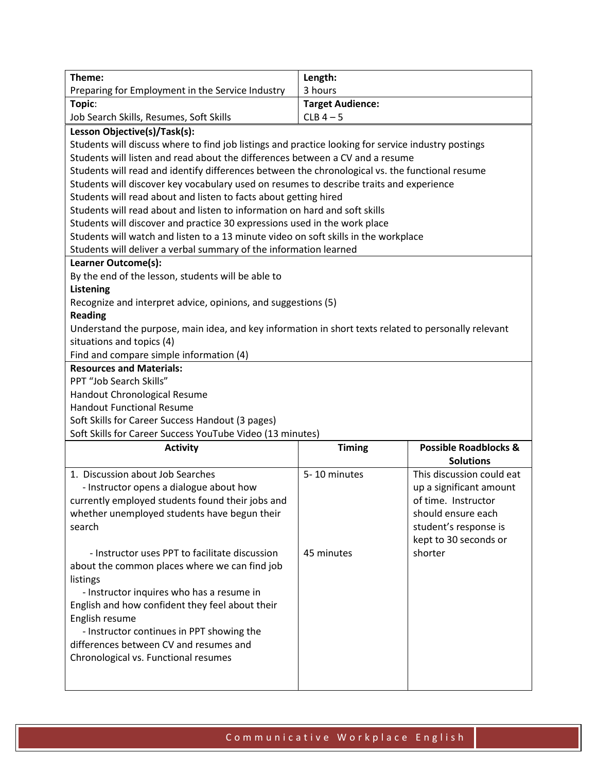| Theme:                                                                                               | Length:                 |                                                      |  |
|------------------------------------------------------------------------------------------------------|-------------------------|------------------------------------------------------|--|
| Preparing for Employment in the Service Industry                                                     | 3 hours                 |                                                      |  |
| Topic:                                                                                               | <b>Target Audience:</b> |                                                      |  |
| Job Search Skills, Resumes, Soft Skills                                                              | $CLB$ 4 - 5             |                                                      |  |
|                                                                                                      |                         |                                                      |  |
| Lesson Objective(s)/Task(s):                                                                         |                         |                                                      |  |
| Students will discuss where to find job listings and practice looking for service industry postings  |                         |                                                      |  |
| Students will listen and read about the differences between a CV and a resume                        |                         |                                                      |  |
| Students will read and identify differences between the chronological vs. the functional resume      |                         |                                                      |  |
| Students will discover key vocabulary used on resumes to describe traits and experience              |                         |                                                      |  |
| Students will read about and listen to facts about getting hired                                     |                         |                                                      |  |
| Students will read about and listen to information on hard and soft skills                           |                         |                                                      |  |
| Students will discover and practice 30 expressions used in the work place                            |                         |                                                      |  |
| Students will watch and listen to a 13 minute video on soft skills in the workplace                  |                         |                                                      |  |
| Students will deliver a verbal summary of the information learned                                    |                         |                                                      |  |
| Learner Outcome(s):                                                                                  |                         |                                                      |  |
| By the end of the lesson, students will be able to                                                   |                         |                                                      |  |
| Listening                                                                                            |                         |                                                      |  |
| Recognize and interpret advice, opinions, and suggestions (5)                                        |                         |                                                      |  |
| <b>Reading</b>                                                                                       |                         |                                                      |  |
| Understand the purpose, main idea, and key information in short texts related to personally relevant |                         |                                                      |  |
| situations and topics (4)                                                                            |                         |                                                      |  |
| Find and compare simple information (4)                                                              |                         |                                                      |  |
| <b>Resources and Materials:</b>                                                                      |                         |                                                      |  |
| PPT "Job Search Skills"                                                                              |                         |                                                      |  |
| Handout Chronological Resume                                                                         |                         |                                                      |  |
| <b>Handout Functional Resume</b>                                                                     |                         |                                                      |  |
| Soft Skills for Career Success Handout (3 pages)                                                     |                         |                                                      |  |
| Soft Skills for Career Success YouTube Video (13 minutes)                                            |                         |                                                      |  |
| <b>Activity</b>                                                                                      | <b>Timing</b>           | <b>Possible Roadblocks &amp;</b><br><b>Solutions</b> |  |
| 1. Discussion about Job Searches                                                                     | 5-10 minutes            | This discussion could eat                            |  |
| - Instructor opens a dialogue about how                                                              |                         | up a significant amount                              |  |
| currently employed students found their jobs and                                                     |                         | of time. Instructor                                  |  |
| whether unemployed students have begun their                                                         |                         | should ensure each                                   |  |
| search                                                                                               |                         | student's response is                                |  |
|                                                                                                      |                         | kept to 30 seconds or                                |  |
| - Instructor uses PPT to facilitate discussion                                                       | 45 minutes              | shorter                                              |  |
| about the common places where we can find job                                                        |                         |                                                      |  |
| listings                                                                                             |                         |                                                      |  |
| - Instructor inquires who has a resume in                                                            |                         |                                                      |  |
| English and how confident they feel about their                                                      |                         |                                                      |  |
| English resume                                                                                       |                         |                                                      |  |
| - Instructor continues in PPT showing the                                                            |                         |                                                      |  |
| differences between CV and resumes and                                                               |                         |                                                      |  |
| Chronological vs. Functional resumes                                                                 |                         |                                                      |  |
|                                                                                                      |                         |                                                      |  |
|                                                                                                      |                         |                                                      |  |